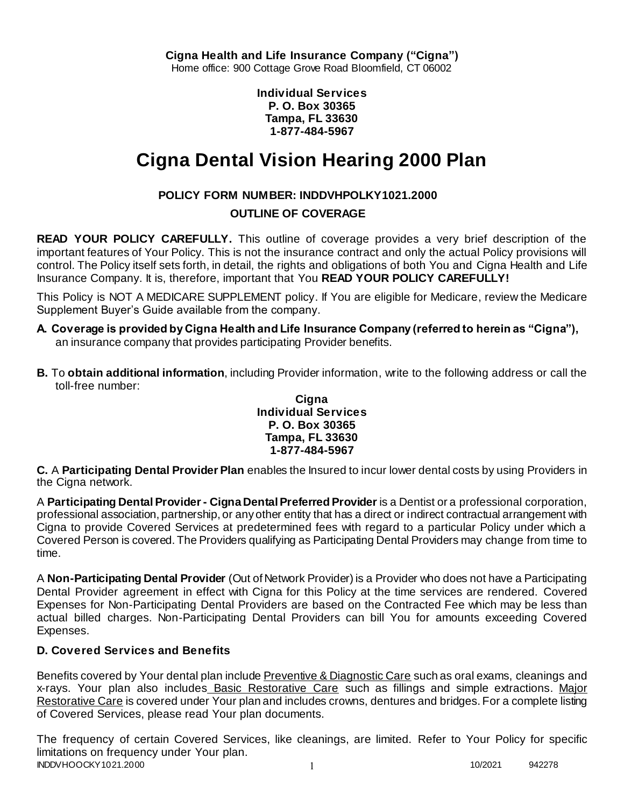**Individual Services P. O. Box 30365 Tampa, FL 33630 1-877-484-5967**

# **Cigna Dental Vision Hearing 2000 Plan**

# **POLICY FORM NUMBER: INDDVHPOLKY1021.2000**

# **OUTLINE OF COVERAGE**

**READ YOUR POLICY CAREFULLY.** This outline of coverage provides a very brief description of the important features of Your Policy. This is not the insurance contract and only the actual Policy provisions will control. The Policy itself sets forth, in detail, the rights and obligations of both You and Cigna Health and Life Insurance Company. It is, therefore, important that You **READ YOUR POLICY CAREFULLY!** 

This Policy is NOT A MEDICARE SUPPLEMENT policy. If You are eligible for Medicare, review the Medicare Supplement Buyer's Guide available from the company.

- **A. Coverage is provided by Cigna Health and Life Insurance Company (referred to herein as "Cigna"),**  an insurance company that provides participating Provider benefits.
- **B.** To **obtain additional information**, including Provider information, write to the following address or call the toll-free number:

#### **Cigna Individual Services P. O. Box 30365 Tampa, FL 33630 1-877-484-5967**

**C.** A **Participating Dental Provider Plan** enables the Insured to incur lower dental costs by using Providers in the Cigna network.

A **Participating Dental Provider - Cigna Dental Preferred Provider** is a Dentist or a professional corporation, professional association, partnership, or any other entity that has a direct or indirect contractual arrangement with Cigna to provide Covered Services at predetermined fees with regard to a particular Policy under which a Covered Person is covered. The Providers qualifying as Participating Dental Providers may change from time to time.

A **Non-Participating Dental Provider** (Out of Network Provider) is a Provider who does not have a Participating Dental Provider agreement in effect with Cigna for this Policy at the time services are rendered. Covered Expenses for Non-Participating Dental Providers are based on the Contracted Fee which may be less than actual billed charges. Non-Participating Dental Providers can bill You for amounts exceeding Covered Expenses.

# **D. Covered Services and Benefits**

Benefits covered by Your dental plan include Preventive & Diagnostic Care such as oral exams, cleanings and x-rays. Your plan also includes Basic Restorative Care such as fillings and simple extractions. Major Restorative Care is covered under Your plan and includes crowns, dentures and bridges. For a complete listing of Covered Services, please read Your plan documents.

INDDVHOOCKY1021.2000 1 10/2021 942278 The frequency of certain Covered Services, like cleanings, are limited. Refer to Your Policy for specific limitations on frequency under Your plan.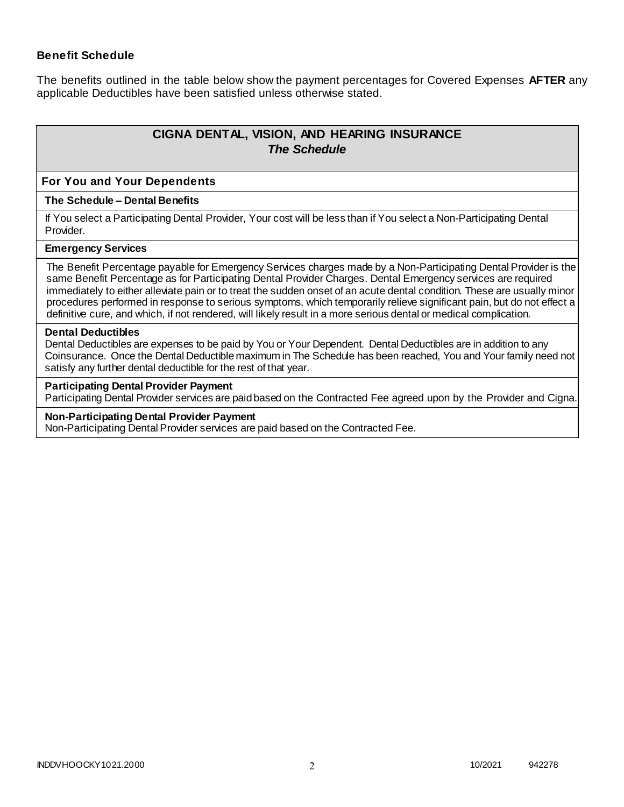### **Benefit Schedule**

The benefits outlined in the table below show the payment percentages for Covered Expenses **AFTER** any applicable Deductibles have been satisfied unless otherwise stated.

# **CIGNA DENTAL, VISION, AND HEARING INSURANCE** *The Schedule*

#### **For You and Your Dependents**

#### **The Schedule – Dental Benefits**

If You select a Participating Dental Provider, Your cost will be less than if You select a Non-Participating Dental Provider.

#### **Emergency Services**

The Benefit Percentage payable for Emergency Services charges made by a Non-Participating Dental Provider is the same Benefit Percentage as for Participating Dental Provider Charges. Dental Emergency services are required immediately to either alleviate pain or to treat the sudden onset of an acute dental condition. These are usually minor procedures performed in response to serious symptoms, which temporarily relieve significant pain, but do not effect a definitive cure, and which, if not rendered, will likely result in a more serious dental or medical complication.

#### **Dental Deductibles**

Dental Deductibles are expenses to be paid by You or Your Dependent. Dental Deductibles are in addition to any Coinsurance. Once the Dental Deductible maximum in The Schedule has been reached, You and Your family need not satisfy any further dental deductible for the rest of that year.

#### **Participating Dental Provider Payment**

Participating Dental Provider services are paid based on the Contracted Fee agreed upon by the Provider and Cigna.

#### **Non-Participating Dental Provider Payment**

Non-Participating Dental Provider services are paid based on the Contracted Fee.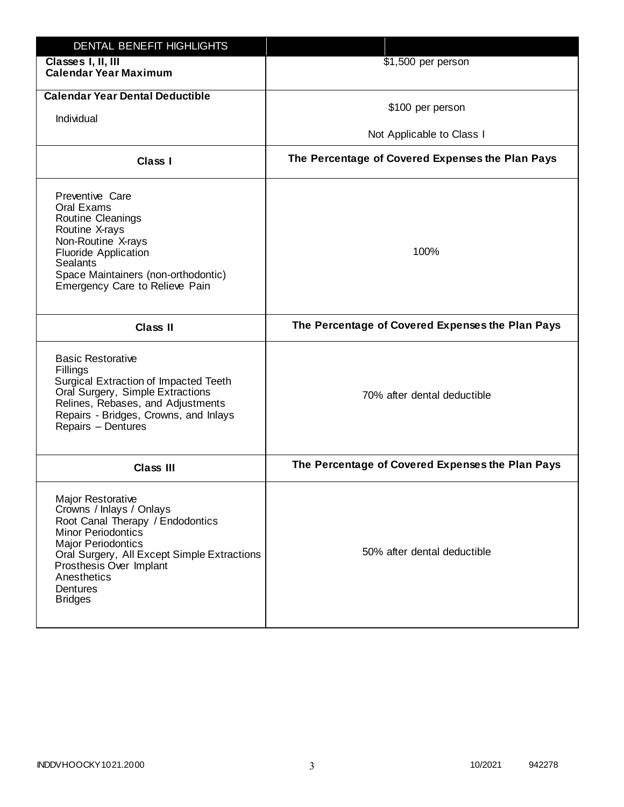| DENTAL BENEFIT HIGHLIGHTS                                                                                                                                                                                                                                                 |                                                  |
|---------------------------------------------------------------------------------------------------------------------------------------------------------------------------------------------------------------------------------------------------------------------------|--------------------------------------------------|
| Classes I, II, III<br><b>Calendar Year Maximum</b>                                                                                                                                                                                                                        | \$1,500 per person                               |
| <b>Calendar Year Dental Deductible</b><br>Individual                                                                                                                                                                                                                      | \$100 per person<br>Not Applicable to Class I    |
|                                                                                                                                                                                                                                                                           |                                                  |
| <b>Class I</b>                                                                                                                                                                                                                                                            | The Percentage of Covered Expenses the Plan Pays |
| Preventive Care<br>Oral Exams<br>Routine Cleanings<br>Routine X-rays<br>Non-Routine X-rays<br><b>Fluoride Application</b><br><b>Sealants</b><br>Space Maintainers (non-orthodontic)<br>Emergency Care to Relieve Pain                                                     | 100%                                             |
| <b>Class II</b>                                                                                                                                                                                                                                                           | The Percentage of Covered Expenses the Plan Pays |
| <b>Basic Restorative</b><br>Fillings<br>Surgical Extraction of Impacted Teeth<br>Oral Surgery, Simple Extractions<br>Relines, Rebases, and Adjustments<br>Repairs - Bridges, Crowns, and Inlays<br>Repairs - Dentures                                                     | 70% after dental deductible                      |
| <b>Class III</b>                                                                                                                                                                                                                                                          | The Percentage of Covered Expenses the Plan Pays |
| <b>Major Restorative</b><br>Crowns / Inlays / Onlays<br>Root Canal Therapy / Endodontics<br><b>Minor Periodontics</b><br><b>Major Periodontics</b><br>Oral Surgery, All Except Simple Extractions<br>Prosthesis Over Implant<br>Anesthetics<br>Dentures<br><b>Bridges</b> | 50% after dental deductible                      |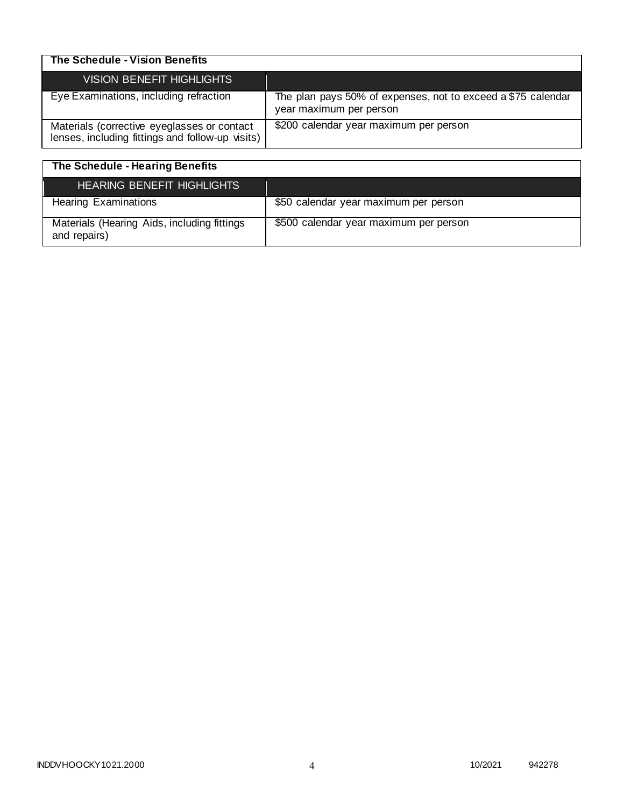| The Schedule - Vision Benefits                                                                  |                                                                                         |
|-------------------------------------------------------------------------------------------------|-----------------------------------------------------------------------------------------|
| VISION BENEFIT HIGHLIGHTS                                                                       |                                                                                         |
| Eye Examinations, including refraction                                                          | The plan pays 50% of expenses, not to exceed a \$75 calendar<br>year maximum per person |
| Materials (corrective eyeglasses or contact<br>lenses, including fittings and follow-up visits) | \$200 calendar year maximum per person                                                  |

| The Schedule - Hearing Benefits                             |                                        |
|-------------------------------------------------------------|----------------------------------------|
| <b>HEARING BENEFIT HIGHLIGHTS</b>                           |                                        |
| <b>Hearing Examinations</b>                                 | \$50 calendar year maximum per person  |
| Materials (Hearing Aids, including fittings<br>and repairs) | \$500 calendar year maximum per person |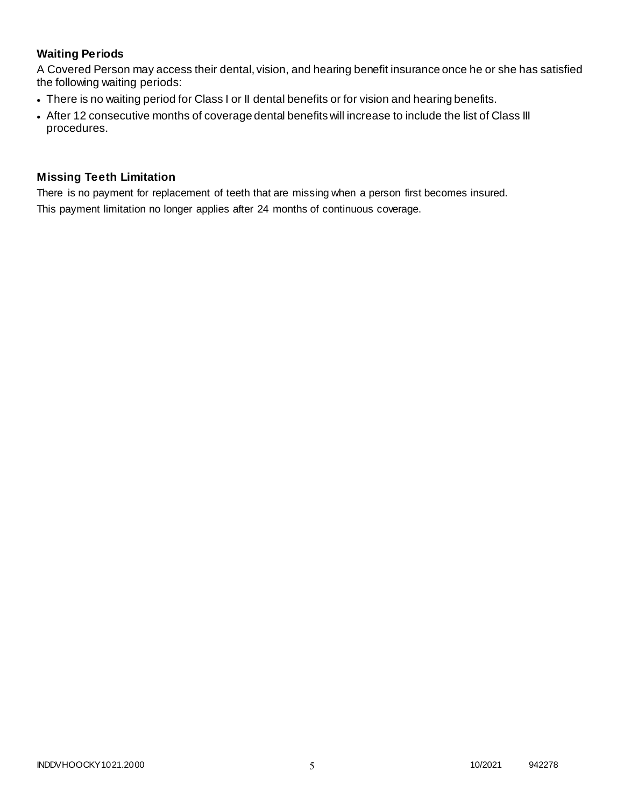# **Waiting Periods**

A Covered Person may access their dental, vision, and hearing benefit insurance once he or she has satisfied the following waiting periods:

- There is no waiting period for Class I or II dental benefits or for vision and hearing benefits.
- After 12 consecutive months of coverage dental benefits will increase to include the list of Class III procedures.

### **Missing Teeth Limitation**

There is no payment for replacement of teeth that are missing when a person first becomes insured.

This payment limitation no longer applies after 24 months of continuous coverage.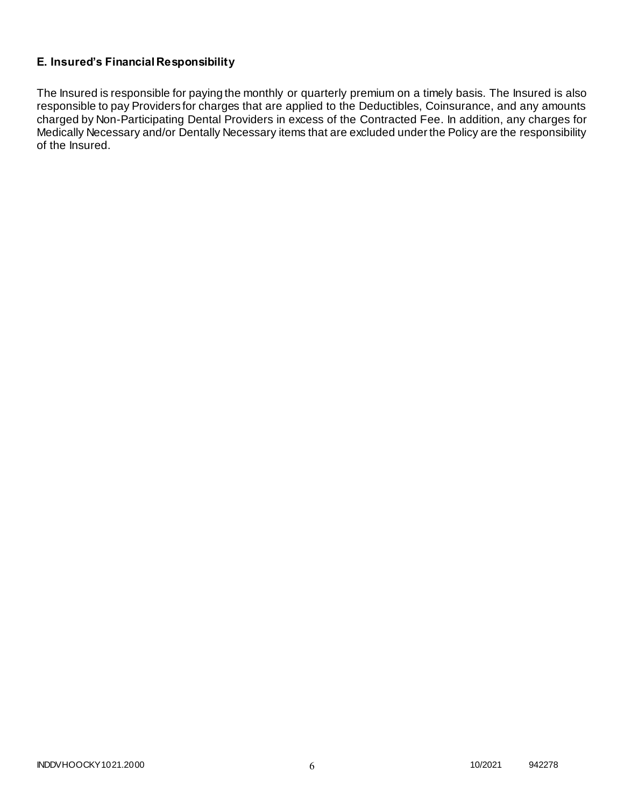# **E. Insured's Financial Responsibility**

The Insured is responsible for paying the monthly or quarterly premium on a timely basis. The Insured is also responsible to pay Providers for charges that are applied to the Deductibles, Coinsurance, and any amounts charged by Non-Participating Dental Providers in excess of the Contracted Fee. In addition, any charges for Medically Necessary and/or Dentally Necessary items that are excluded under the Policy are the responsibility of the Insured.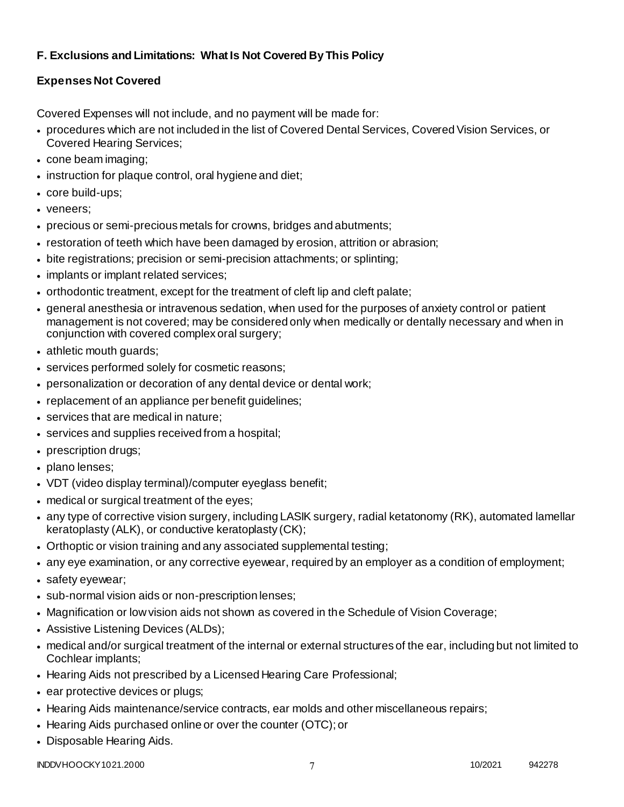# **F. Exclusions and Limitations: What Is Not Covered By This Policy**

# **Expenses Not Covered**

Covered Expenses will not include, and no payment will be made for:

- procedures which are not included in the list of Covered Dental Services, Covered Vision Services, or Covered Hearing Services;
- cone beam imaging;
- instruction for plaque control, oral hygiene and diet;
- core build-ups;
- veneers;
- precious or semi-precious metals for crowns, bridges and abutments;
- restoration of teeth which have been damaged by erosion, attrition or abrasion;
- bite registrations; precision or semi-precision attachments; or splinting;
- implants or implant related services;
- orthodontic treatment, except for the treatment of cleft lip and cleft palate;
- general anesthesia or intravenous sedation, when used for the purposes of anxiety control or patient management is not covered; may be considered only when medically or dentally necessary and when in conjunction with covered complex oral surgery;
- athletic mouth guards;
- services performed solely for cosmetic reasons;
- personalization or decoration of any dental device or dental work;
- replacement of an appliance per benefit guidelines;
- services that are medical in nature:
- services and supplies received from a hospital;
- prescription drugs;
- plano lenses:
- VDT (video display terminal)/computer eyeglass benefit;
- medical or surgical treatment of the eyes;
- any type of corrective vision surgery, including LASIK surgery, radial ketatonomy (RK), automated lamellar keratoplasty (ALK), or conductive keratoplasty (CK);
- Orthoptic or vision training and any associated supplemental testing;
- any eye examination, or any corrective eyewear, required by an employer as a condition of employment;
- safety eyewear;
- sub-normal vision aids or non-prescription lenses;
- Magnification or low vision aids not shown as covered in the Schedule of Vision Coverage;
- Assistive Listening Devices (ALDs);
- medical and/or surgical treatment of the internal or external structures of the ear, including but not limited to Cochlear implants;
- Hearing Aids not prescribed by a Licensed Hearing Care Professional;
- ear protective devices or plugs;
- Hearing Aids maintenance/service contracts, ear molds and other miscellaneous repairs;
- Hearing Aids purchased online or over the counter (OTC); or
- Disposable Hearing Aids.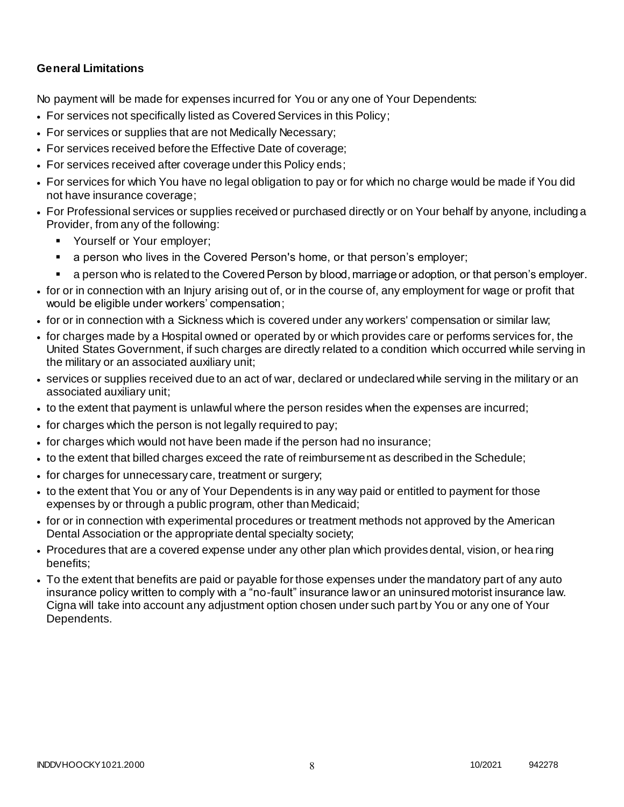# **General Limitations**

No payment will be made for expenses incurred for You or any one of Your Dependents:

- For services not specifically listed as Covered Services in this Policy;
- For services or supplies that are not Medically Necessary;
- For services received before the Effective Date of coverage;
- For services received after coverage under this Policy ends;
- For services for which You have no legal obligation to pay or for which no charge would be made if You did not have insurance coverage;
- For Professional services or supplies received or purchased directly or on Your behalf by anyone, including a Provider, from any of the following:
	- **Yourself or Your employer;**
	- a person who lives in the Covered Person's home, or that person's employer;
	- a person who is related to the Covered Person by blood, marriage or adoption, or that person's employer.
- for or in connection with an Injury arising out of, or in the course of, any employment for wage or profit that would be eligible under workers' compensation;
- for or in connection with a Sickness which is covered under any workers' compensation or similar law;
- for charges made by a Hospital owned or operated by or which provides care or performs services for, the United States Government, if such charges are directly related to a condition which occurred while serving in the military or an associated auxiliary unit;
- services or supplies received due to an act of war, declared or undeclared while serving in the military or an associated auxiliary unit;
- to the extent that payment is unlawful where the person resides when the expenses are incurred;
- for charges which the person is not legally required to pay;
- for charges which would not have been made if the person had no insurance;
- to the extent that billed charges exceed the rate of reimbursement as described in the Schedule;
- for charges for unnecessary care, treatment or surgery;
- to the extent that You or any of Your Dependents is in any way paid or entitled to payment for those expenses by or through a public program, other than Medicaid;
- for or in connection with experimental procedures or treatment methods not approved by the American Dental Association or the appropriate dental specialty society;
- Procedures that are a covered expense under any other plan which provides dental, vision, or hea ring benefits;
- To the extent that benefits are paid or payable for those expenses under the mandatory part of any auto insurance policy written to comply with a "no-fault" insurance law or an uninsured motorist insurance law. Cigna will take into account any adjustment option chosen under such part by You or any one of Your Dependents.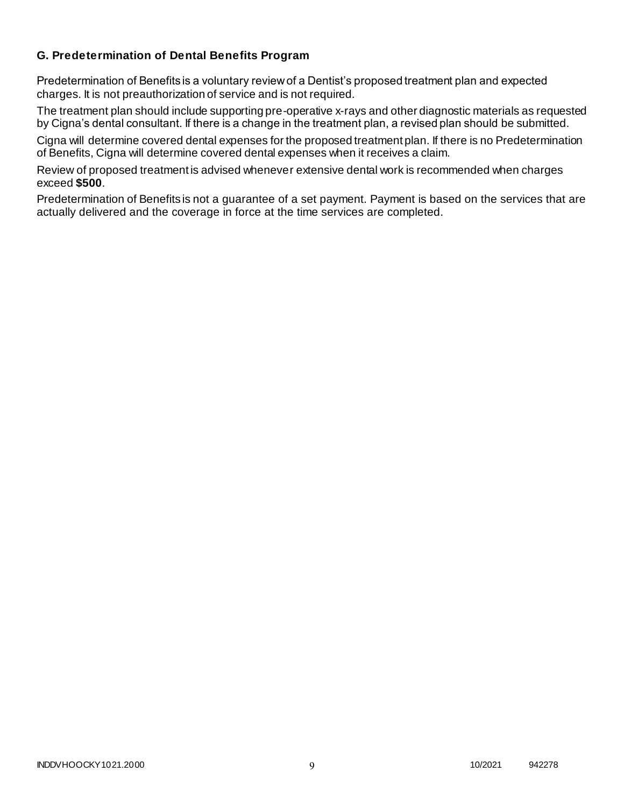### **G. Predetermination of Dental Benefits Program**

Predetermination of Benefits is a voluntary review of a Dentist's proposed treatment plan and expected charges. It is not preauthorization of service and is not required.

The treatment plan should include supporting pre-operative x-rays and other diagnostic materials as requested by Cigna's dental consultant. If there is a change in the treatment plan, a revised plan should be submitted.

Cigna will determine covered dental expenses for the proposed treatment plan. If there is no Predetermination of Benefits, Cigna will determine covered dental expenses when it receives a claim.

Review of proposed treatment is advised whenever extensive dental work is recommended when charges exceed **\$500**.

Predetermination of Benefits is not a guarantee of a set payment. Payment is based on the services that are actually delivered and the coverage in force at the time services are completed.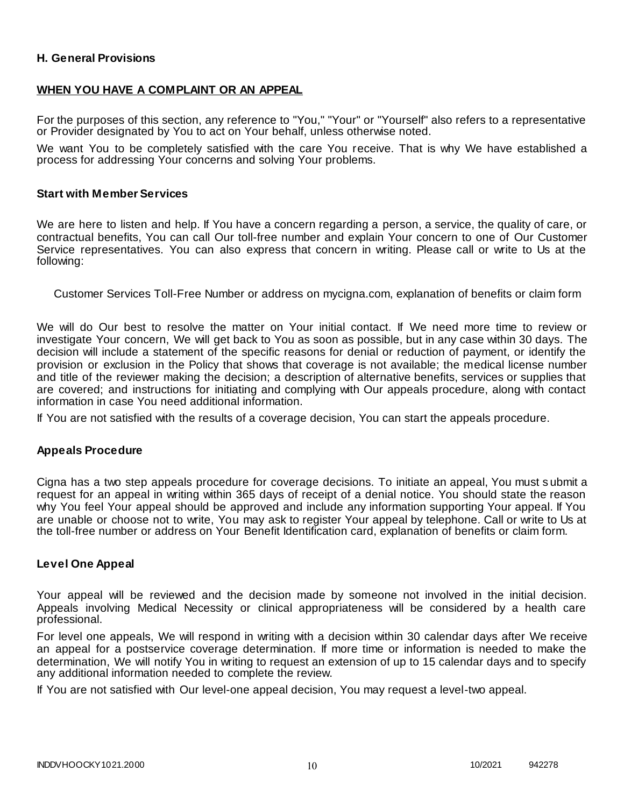### **H. General Provisions**

### **WHEN YOU HAVE A COMPLAINT OR AN APPEAL**

For the purposes of this section, any reference to "You," "Your" or "Yourself" also refers to a representative or Provider designated by You to act on Your behalf, unless otherwise noted.

We want You to be completely satisfied with the care You receive. That is why We have established a process for addressing Your concerns and solving Your problems.

#### **Start with Member Services**

We are here to listen and help. If You have a concern regarding a person, a service, the quality of care, or contractual benefits, You can call Our toll-free number and explain Your concern to one of Our Customer Service representatives. You can also express that concern in writing. Please call or write to Us at the following:

Customer Services Toll-Free Number or address on mycigna.com, explanation of benefits or claim form

We will do Our best to resolve the matter on Your initial contact. If We need more time to review or investigate Your concern, We will get back to You as soon as possible, but in any case within 30 days. The decision will include a statement of the specific reasons for denial or reduction of payment, or identify the provision or exclusion in the Policy that shows that coverage is not available; the medical license number and title of the reviewer making the decision; a description of alternative benefits, services or supplies that are covered; and instructions for initiating and complying with Our appeals procedure, along with contact information in case You need additional information.

If You are not satisfied with the results of a coverage decision, You can start the appeals procedure.

#### **Appeals Procedure**

Cigna has a two step appeals procedure for coverage decisions. To initiate an appeal, You must s ubmit a request for an appeal in writing within 365 days of receipt of a denial notice. You should state the reason why You feel Your appeal should be approved and include any information supporting Your appeal. If You are unable or choose not to write, You may ask to register Your appeal by telephone. Call or write to Us at the toll-free number or address on Your Benefit Identification card, explanation of benefits or claim form.

#### **Level One Appeal**

Your appeal will be reviewed and the decision made by someone not involved in the initial decision. Appeals involving Medical Necessity or clinical appropriateness will be considered by a health care professional.

For level one appeals, We will respond in writing with a decision within 30 calendar days after We receive an appeal for a postservice coverage determination. If more time or information is needed to make the determination, We will notify You in writing to request an extension of up to 15 calendar days and to specify any additional information needed to complete the review.

If You are not satisfied with Our level-one appeal decision, You may request a level-two appeal.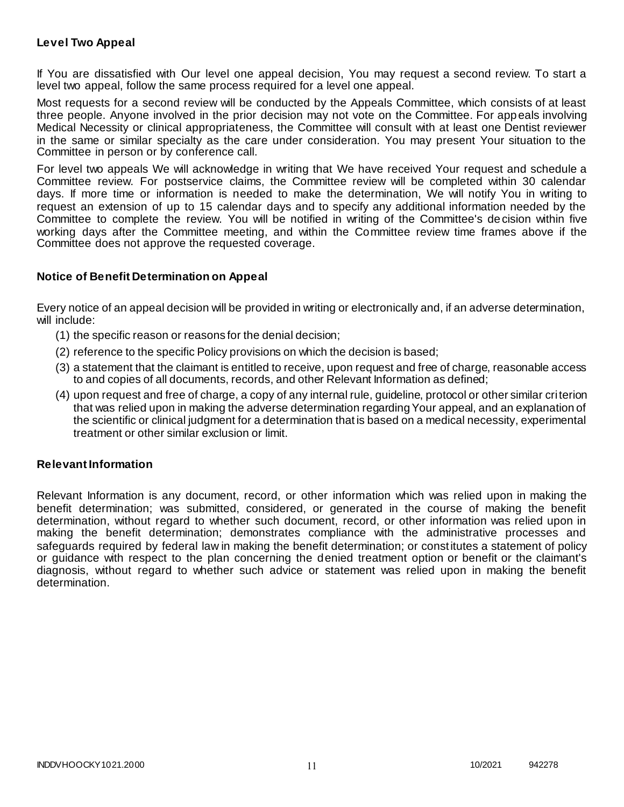### **Level Two Appeal**

If You are dissatisfied with Our level one appeal decision, You may request a second review. To start a level two appeal, follow the same process required for a level one appeal.

Most requests for a second review will be conducted by the Appeals Committee, which consists of at least three people. Anyone involved in the prior decision may not vote on the Committee. For appeals involving Medical Necessity or clinical appropriateness, the Committee will consult with at least one Dentist reviewer in the same or similar specialty as the care under consideration. You may present Your situation to the Committee in person or by conference call.

For level two appeals We will acknowledge in writing that We have received Your request and schedule a Committee review. For postservice claims, the Committee review will be completed within 30 calendar days. If more time or information is needed to make the determination, We will notify You in writing to request an extension of up to 15 calendar days and to specify any additional information needed by the Committee to complete the review. You will be notified in writing of the Committee's decision within five working days after the Committee meeting, and within the Committee review time frames above if the Committee does not approve the requested coverage.

### **Notice of Benefit Determination on Appeal**

Every notice of an appeal decision will be provided in writing or electronically and, if an adverse determination, will include:

- (1) the specific reason or reasons for the denial decision;
- (2) reference to the specific Policy provisions on which the decision is based;
- (3) a statement that the claimant is entitled to receive, upon request and free of charge, reasonable access to and copies of all documents, records, and other Relevant Information as defined;
- (4) upon request and free of charge, a copy of any internal rule, guideline, protocol or other similar criterion that was relied upon in making the adverse determination regarding Your appeal, and an explanation of the scientific or clinical judgment for a determination that is based on a medical necessity, experimental treatment or other similar exclusion or limit.

### **Relevant Information**

Relevant Information is any document, record, or other information which was relied upon in making the benefit determination; was submitted, considered, or generated in the course of making the benefit determination, without regard to whether such document, record, or other information was relied upon in making the benefit determination; demonstrates compliance with the administrative processes and safeguards required by federal law in making the benefit determination; or constitutes a statement of policy or guidance with respect to the plan concerning the denied treatment option or benefit or the claimant's diagnosis, without regard to whether such advice or statement was relied upon in making the benefit determination.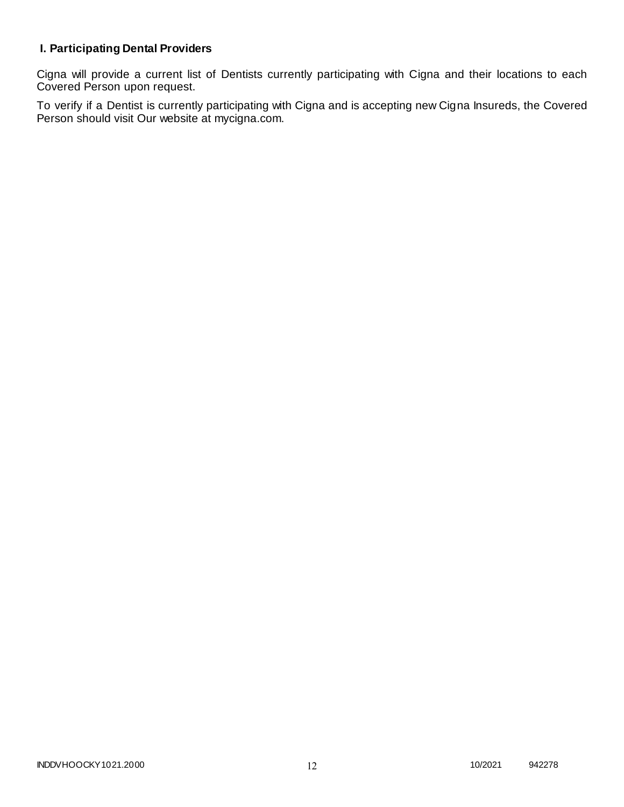# **I. Participating Dental Providers**

Cigna will provide a current list of Dentists currently participating with Cigna and their locations to each Covered Person upon request.

To verify if a Dentist is currently participating with Cigna and is accepting new Cigna Insureds, the Covered Person should visit Our website at mycigna.com.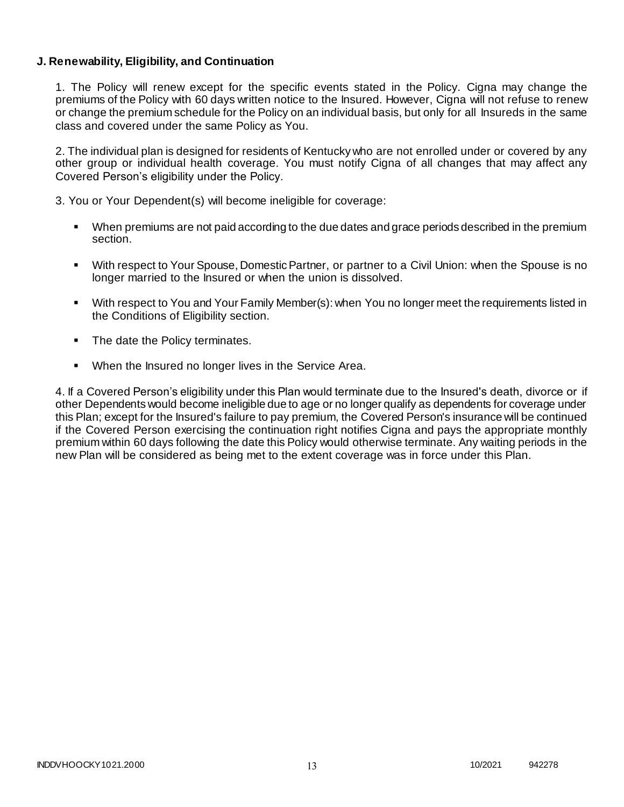### **J. Renewability, Eligibility, and Continuation**

1. The Policy will renew except for the specific events stated in the Policy. Cigna may change the premiums of the Policy with 60 days written notice to the Insured. However, Cigna will not refuse to renew or change the premium schedule for the Policy on an individual basis, but only for all Insureds in the same class and covered under the same Policy as You.

2. The individual plan is designed for residents of Kentucky who are not enrolled under or covered by any other group or individual health coverage. You must notify Cigna of all changes that may affect any Covered Person's eligibility under the Policy.

3. You or Your Dependent(s) will become ineligible for coverage:

- When premiums are not paid according to the due dates and grace periods described in the premium section.
- With respect to Your Spouse, Domestic Partner, or partner to a Civil Union: when the Spouse is no longer married to the Insured or when the union is dissolved.
- With respect to You and Your Family Member(s): when You no longer meet the requirements listed in the Conditions of Eligibility section.
- The date the Policy terminates.
- When the Insured no longer lives in the Service Area.

4. If a Covered Person's eligibility under this Plan would terminate due to the Insured's death, divorce or if other Dependents would become ineligible due to age or no longer qualify as dependents for coverage under this Plan; except for the Insured's failure to pay premium, the Covered Person's insurance will be continued if the Covered Person exercising the continuation right notifies Cigna and pays the appropriate monthly premium within 60 days following the date this Policy would otherwise terminate. Any waiting periods in the new Plan will be considered as being met to the extent coverage was in force under this Plan.